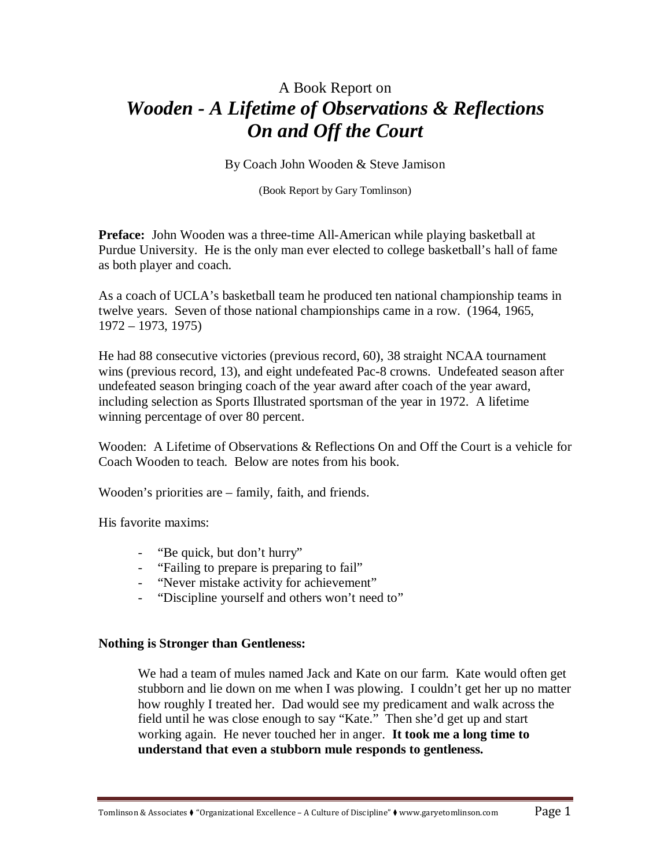# A Book Report on *Wooden - A Lifetime of Observations & Reflections On and Off the Court*

By Coach John Wooden & Steve Jamison

(Book Report by Gary Tomlinson)

**Preface:** John Wooden was a three-time All-American while playing basketball at Purdue University. He is the only man ever elected to college basketball's hall of fame as both player and coach.

As a coach of UCLA's basketball team he produced ten national championship teams in twelve years. Seven of those national championships came in a row. (1964, 1965, 1972 – 1973, 1975)

He had 88 consecutive victories (previous record, 60), 38 straight NCAA tournament wins (previous record, 13), and eight undefeated Pac-8 crowns. Undefeated season after undefeated season bringing coach of the year award after coach of the year award, including selection as Sports Illustrated sportsman of the year in 1972. A lifetime winning percentage of over 80 percent.

Wooden: A Lifetime of Observations & Reflections On and Off the Court is a vehicle for Coach Wooden to teach. Below are notes from his book.

Wooden's priorities are – family, faith, and friends.

His favorite maxims:

- "Be quick, but don't hurry"
- "Failing to prepare is preparing to fail"
- "Never mistake activity for achievement"
- "Discipline yourself and others won't need to"

#### **Nothing is Stronger than Gentleness:**

We had a team of mules named Jack and Kate on our farm. Kate would often get stubborn and lie down on me when I was plowing. I couldn't get her up no matter how roughly I treated her. Dad would see my predicament and walk across the field until he was close enough to say "Kate." Then she'd get up and start working again. He never touched her in anger. **It took me a long time to understand that even a stubborn mule responds to gentleness.**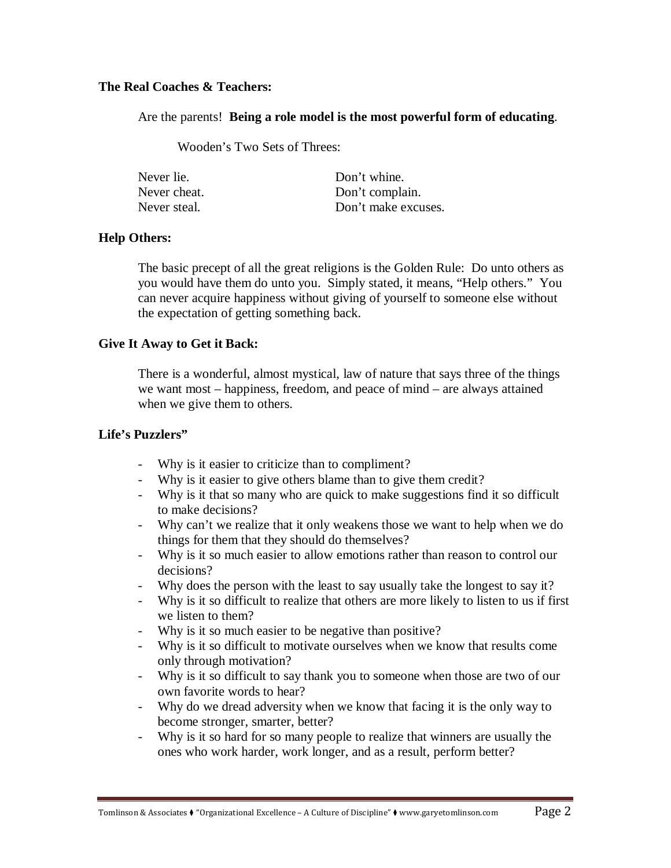#### **The Real Coaches & Teachers:**

Are the parents! **Being a role model is the most powerful form of educating**.

Wooden's Two Sets of Threes:

| Never lie.   | Don't whine.        |
|--------------|---------------------|
| Never cheat. | Don't complain.     |
| Never steal. | Don't make excuses. |

#### **Help Others:**

The basic precept of all the great religions is the Golden Rule: Do unto others as you would have them do unto you. Simply stated, it means, "Help others." You can never acquire happiness without giving of yourself to someone else without the expectation of getting something back.

#### **Give It Away to Get it Back:**

There is a wonderful, almost mystical, law of nature that says three of the things we want most – happiness, freedom, and peace of mind – are always attained when we give them to others.

#### **Life's Puzzlers"**

- Why is it easier to criticize than to compliment?
- Why is it easier to give others blame than to give them credit?
- Why is it that so many who are quick to make suggestions find it so difficult to make decisions?
- Why can't we realize that it only weakens those we want to help when we do things for them that they should do themselves?
- Why is it so much easier to allow emotions rather than reason to control our decisions?
- Why does the person with the least to say usually take the longest to say it?
- Why is it so difficult to realize that others are more likely to listen to us if first we listen to them?
- Why is it so much easier to be negative than positive?
- Why is it so difficult to motivate ourselves when we know that results come only through motivation?
- Why is it so difficult to say thank you to someone when those are two of our own favorite words to hear?
- Why do we dread adversity when we know that facing it is the only way to become stronger, smarter, better?
- Why is it so hard for so many people to realize that winners are usually the ones who work harder, work longer, and as a result, perform better?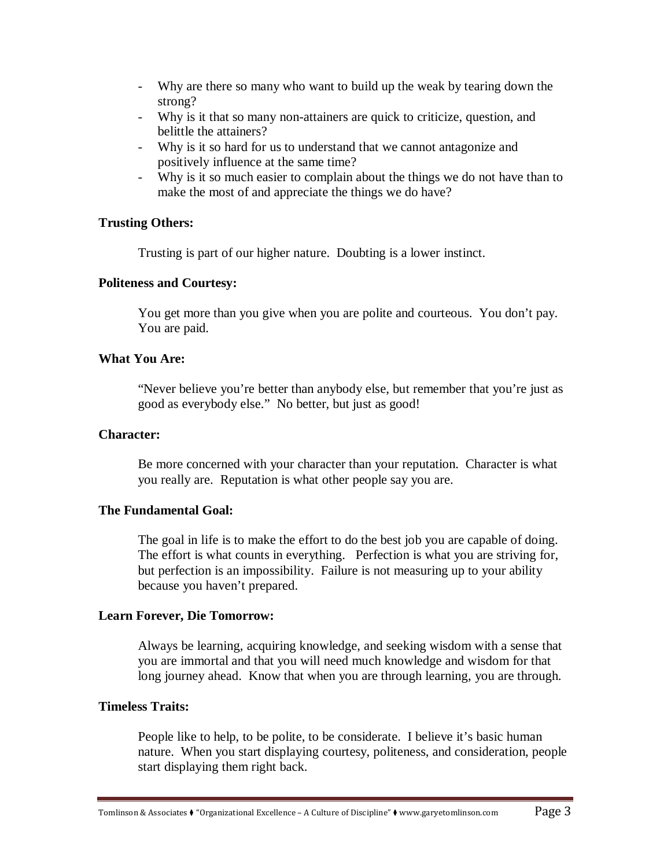- Why are there so many who want to build up the weak by tearing down the strong?
- Why is it that so many non-attainers are quick to criticize, question, and belittle the attainers?
- Why is it so hard for us to understand that we cannot antagonize and positively influence at the same time?
- Why is it so much easier to complain about the things we do not have than to make the most of and appreciate the things we do have?

#### **Trusting Others:**

Trusting is part of our higher nature. Doubting is a lower instinct.

#### **Politeness and Courtesy:**

You get more than you give when you are polite and courteous. You don't pay. You are paid.

#### **What You Are:**

"Never believe you're better than anybody else, but remember that you're just as good as everybody else." No better, but just as good!

#### **Character:**

Be more concerned with your character than your reputation. Character is what you really are. Reputation is what other people say you are.

#### **The Fundamental Goal:**

The goal in life is to make the effort to do the best job you are capable of doing. The effort is what counts in everything. Perfection is what you are striving for, but perfection is an impossibility. Failure is not measuring up to your ability because you haven't prepared.

#### **Learn Forever, Die Tomorrow:**

Always be learning, acquiring knowledge, and seeking wisdom with a sense that you are immortal and that you will need much knowledge and wisdom for that long journey ahead. Know that when you are through learning, you are through.

#### **Timeless Traits:**

People like to help, to be polite, to be considerate. I believe it's basic human nature. When you start displaying courtesy, politeness, and consideration, people start displaying them right back.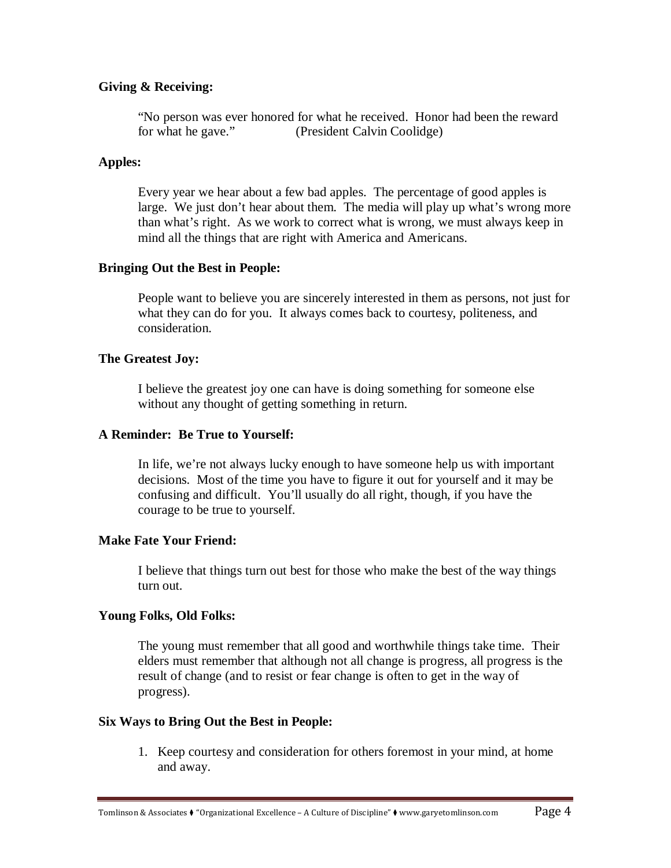## **Giving & Receiving:**

"No person was ever honored for what he received. Honor had been the reward for what he gave." (President Calvin Coolidge)

#### **Apples:**

Every year we hear about a few bad apples. The percentage of good apples is large. We just don't hear about them. The media will play up what's wrong more than what's right. As we work to correct what is wrong, we must always keep in mind all the things that are right with America and Americans.

#### **Bringing Out the Best in People:**

People want to believe you are sincerely interested in them as persons, not just for what they can do for you. It always comes back to courtesy, politeness, and consideration.

#### **The Greatest Joy:**

I believe the greatest joy one can have is doing something for someone else without any thought of getting something in return.

#### **A Reminder: Be True to Yourself:**

In life, we're not always lucky enough to have someone help us with important decisions. Most of the time you have to figure it out for yourself and it may be confusing and difficult. You'll usually do all right, though, if you have the courage to be true to yourself.

#### **Make Fate Your Friend:**

I believe that things turn out best for those who make the best of the way things turn out.

#### **Young Folks, Old Folks:**

The young must remember that all good and worthwhile things take time. Their elders must remember that although not all change is progress, all progress is the result of change (and to resist or fear change is often to get in the way of progress).

#### **Six Ways to Bring Out the Best in People:**

1. Keep courtesy and consideration for others foremost in your mind, at home and away.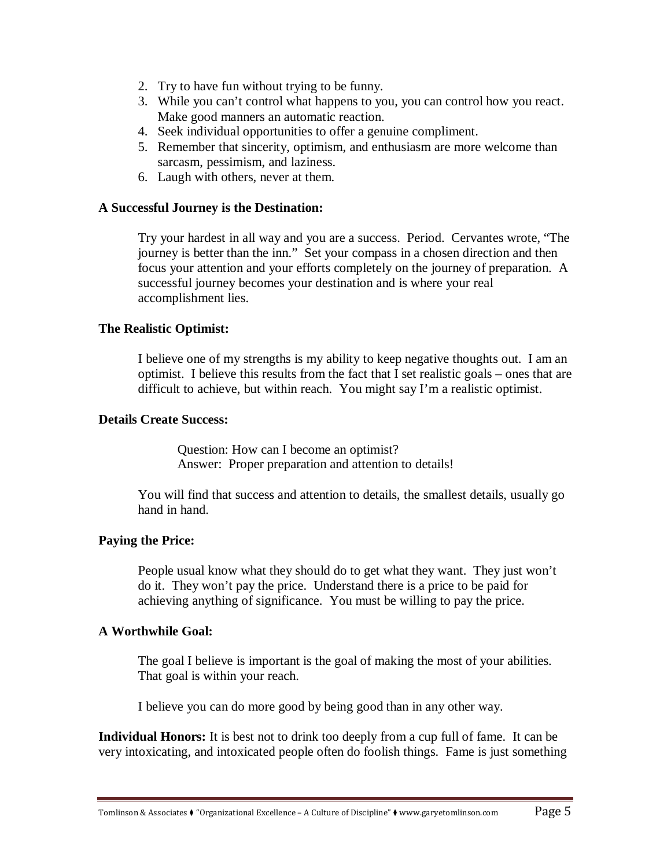- 2. Try to have fun without trying to be funny.
- 3. While you can't control what happens to you, you can control how you react. Make good manners an automatic reaction.
- 4. Seek individual opportunities to offer a genuine compliment.
- 5. Remember that sincerity, optimism, and enthusiasm are more welcome than sarcasm, pessimism, and laziness.
- 6. Laugh with others, never at them.

## **A Successful Journey is the Destination:**

Try your hardest in all way and you are a success. Period. Cervantes wrote, "The journey is better than the inn." Set your compass in a chosen direction and then focus your attention and your efforts completely on the journey of preparation. A successful journey becomes your destination and is where your real accomplishment lies.

## **The Realistic Optimist:**

I believe one of my strengths is my ability to keep negative thoughts out. I am an optimist. I believe this results from the fact that I set realistic goals – ones that are difficult to achieve, but within reach. You might say I'm a realistic optimist.

## **Details Create Success:**

Question: How can I become an optimist? Answer: Proper preparation and attention to details!

You will find that success and attention to details, the smallest details, usually go hand in hand.

## **Paying the Price:**

People usual know what they should do to get what they want. They just won't do it. They won't pay the price. Understand there is a price to be paid for achieving anything of significance. You must be willing to pay the price.

#### **A Worthwhile Goal:**

The goal I believe is important is the goal of making the most of your abilities. That goal is within your reach.

I believe you can do more good by being good than in any other way.

**Individual Honors:** It is best not to drink too deeply from a cup full of fame. It can be very intoxicating, and intoxicated people often do foolish things. Fame is just something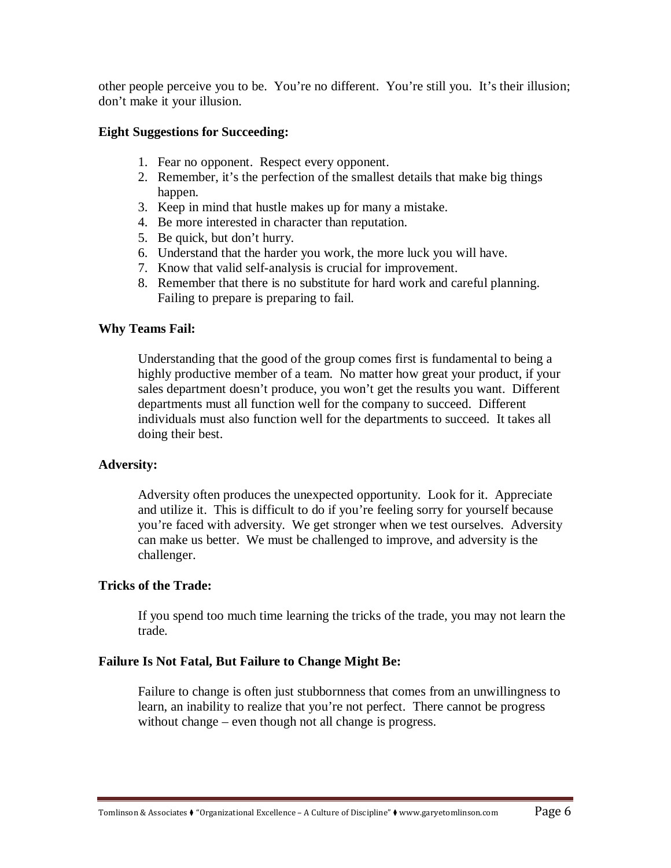other people perceive you to be. You're no different. You're still you. It's their illusion; don't make it your illusion.

#### **Eight Suggestions for Succeeding:**

- 1. Fear no opponent. Respect every opponent.
- 2. Remember, it's the perfection of the smallest details that make big things happen.
- 3. Keep in mind that hustle makes up for many a mistake.
- 4. Be more interested in character than reputation.
- 5. Be quick, but don't hurry.
- 6. Understand that the harder you work, the more luck you will have.
- 7. Know that valid self-analysis is crucial for improvement.
- 8. Remember that there is no substitute for hard work and careful planning. Failing to prepare is preparing to fail.

#### **Why Teams Fail:**

Understanding that the good of the group comes first is fundamental to being a highly productive member of a team. No matter how great your product, if your sales department doesn't produce, you won't get the results you want. Different departments must all function well for the company to succeed. Different individuals must also function well for the departments to succeed. It takes all doing their best.

#### **Adversity:**

Adversity often produces the unexpected opportunity. Look for it. Appreciate and utilize it. This is difficult to do if you're feeling sorry for yourself because you're faced with adversity. We get stronger when we test ourselves. Adversity can make us better. We must be challenged to improve, and adversity is the challenger.

#### **Tricks of the Trade:**

If you spend too much time learning the tricks of the trade, you may not learn the trade.

#### **Failure Is Not Fatal, But Failure to Change Might Be:**

Failure to change is often just stubbornness that comes from an unwillingness to learn, an inability to realize that you're not perfect. There cannot be progress without change – even though not all change is progress.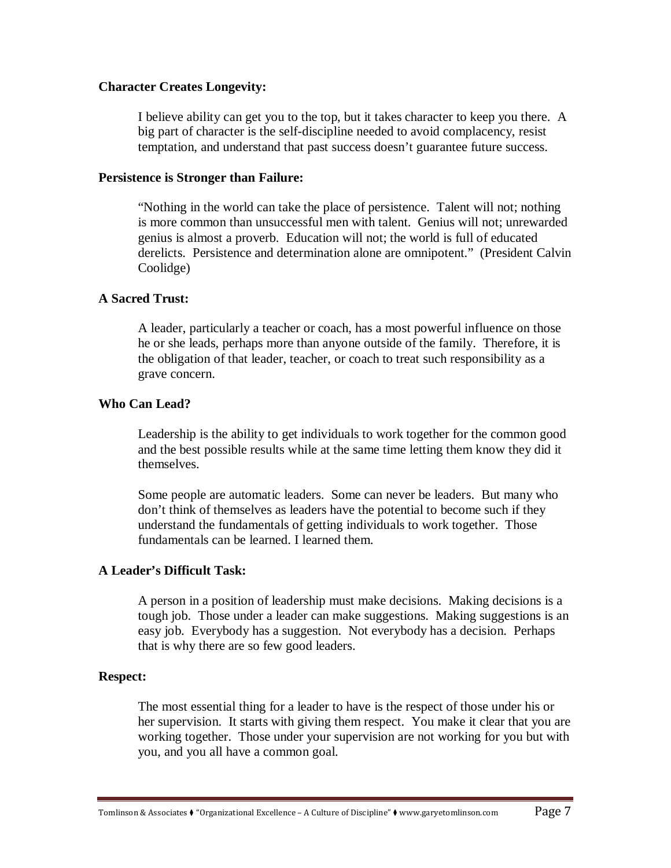#### **Character Creates Longevity:**

I believe ability can get you to the top, but it takes character to keep you there. A big part of character is the self-discipline needed to avoid complacency, resist temptation, and understand that past success doesn't guarantee future success.

#### **Persistence is Stronger than Failure:**

"Nothing in the world can take the place of persistence. Talent will not; nothing is more common than unsuccessful men with talent. Genius will not; unrewarded genius is almost a proverb. Education will not; the world is full of educated derelicts. Persistence and determination alone are omnipotent." (President Calvin Coolidge)

#### **A Sacred Trust:**

A leader, particularly a teacher or coach, has a most powerful influence on those he or she leads, perhaps more than anyone outside of the family. Therefore, it is the obligation of that leader, teacher, or coach to treat such responsibility as a grave concern.

#### **Who Can Lead?**

Leadership is the ability to get individuals to work together for the common good and the best possible results while at the same time letting them know they did it themselves.

Some people are automatic leaders. Some can never be leaders. But many who don't think of themselves as leaders have the potential to become such if they understand the fundamentals of getting individuals to work together. Those fundamentals can be learned. I learned them.

#### **A Leader's Difficult Task:**

A person in a position of leadership must make decisions. Making decisions is a tough job. Those under a leader can make suggestions. Making suggestions is an easy job. Everybody has a suggestion. Not everybody has a decision. Perhaps that is why there are so few good leaders.

#### **Respect:**

The most essential thing for a leader to have is the respect of those under his or her supervision. It starts with giving them respect. You make it clear that you are working together. Those under your supervision are not working for you but with you, and you all have a common goal.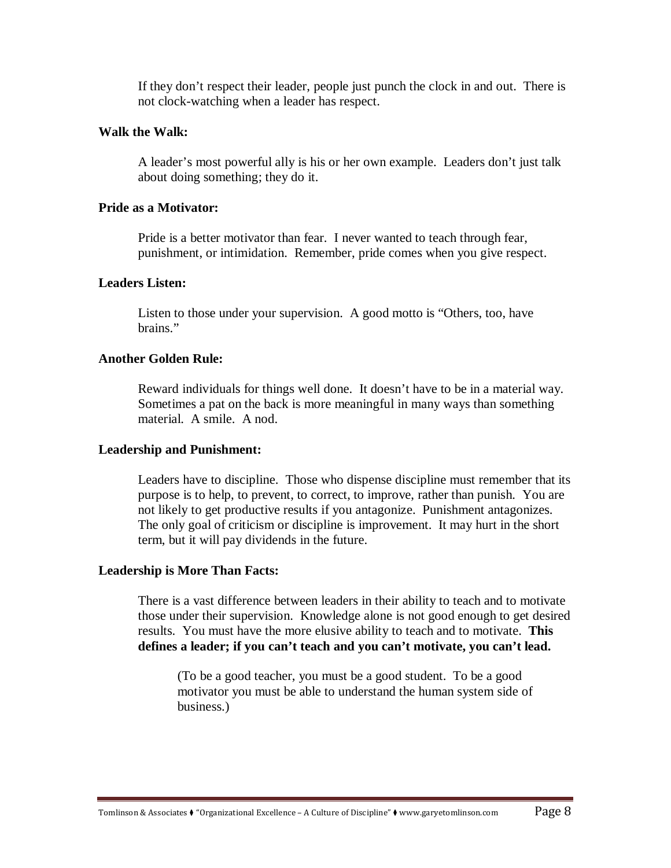If they don't respect their leader, people just punch the clock in and out. There is not clock-watching when a leader has respect.

#### **Walk the Walk:**

A leader's most powerful ally is his or her own example. Leaders don't just talk about doing something; they do it.

### **Pride as a Motivator:**

Pride is a better motivator than fear. I never wanted to teach through fear, punishment, or intimidation. Remember, pride comes when you give respect.

## **Leaders Listen:**

Listen to those under your supervision. A good motto is "Others, too, have brains."

#### **Another Golden Rule:**

Reward individuals for things well done. It doesn't have to be in a material way. Sometimes a pat on the back is more meaningful in many ways than something material. A smile. A nod.

#### **Leadership and Punishment:**

Leaders have to discipline. Those who dispense discipline must remember that its purpose is to help, to prevent, to correct, to improve, rather than punish. You are not likely to get productive results if you antagonize. Punishment antagonizes. The only goal of criticism or discipline is improvement. It may hurt in the short term, but it will pay dividends in the future.

#### **Leadership is More Than Facts:**

There is a vast difference between leaders in their ability to teach and to motivate those under their supervision. Knowledge alone is not good enough to get desired results. You must have the more elusive ability to teach and to motivate. **This defines a leader; if you can't teach and you can't motivate, you can't lead.**

(To be a good teacher, you must be a good student. To be a good motivator you must be able to understand the human system side of business.)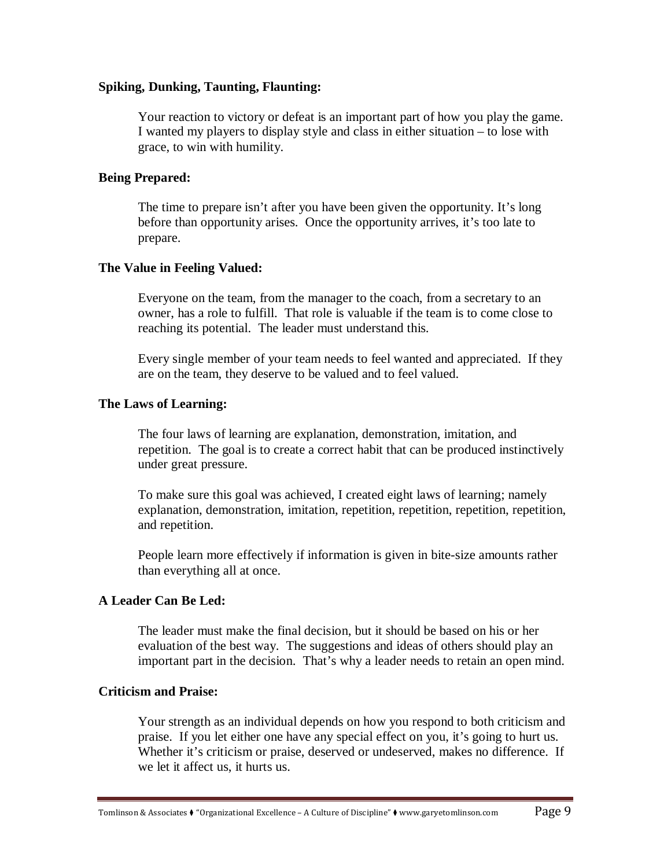#### **Spiking, Dunking, Taunting, Flaunting:**

Your reaction to victory or defeat is an important part of how you play the game. I wanted my players to display style and class in either situation – to lose with grace, to win with humility.

## **Being Prepared:**

The time to prepare isn't after you have been given the opportunity. It's long before than opportunity arises. Once the opportunity arrives, it's too late to prepare.

## **The Value in Feeling Valued:**

Everyone on the team, from the manager to the coach, from a secretary to an owner, has a role to fulfill. That role is valuable if the team is to come close to reaching its potential. The leader must understand this.

Every single member of your team needs to feel wanted and appreciated. If they are on the team, they deserve to be valued and to feel valued.

#### **The Laws of Learning:**

The four laws of learning are explanation, demonstration, imitation, and repetition. The goal is to create a correct habit that can be produced instinctively under great pressure.

To make sure this goal was achieved, I created eight laws of learning; namely explanation, demonstration, imitation, repetition, repetition, repetition, repetition, and repetition.

People learn more effectively if information is given in bite-size amounts rather than everything all at once.

## **A Leader Can Be Led:**

The leader must make the final decision, but it should be based on his or her evaluation of the best way. The suggestions and ideas of others should play an important part in the decision. That's why a leader needs to retain an open mind.

#### **Criticism and Praise:**

Your strength as an individual depends on how you respond to both criticism and praise. If you let either one have any special effect on you, it's going to hurt us. Whether it's criticism or praise, deserved or undeserved, makes no difference. If we let it affect us, it hurts us.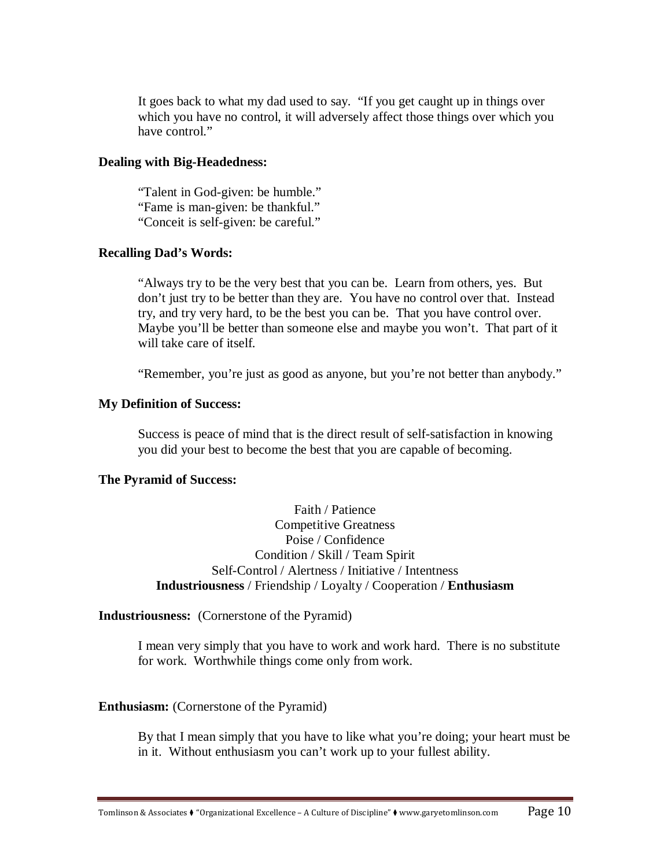It goes back to what my dad used to say. "If you get caught up in things over which you have no control, it will adversely affect those things over which you have control."

#### **Dealing with Big-Headedness:**

"Talent in God-given: be humble." "Fame is man-given: be thankful." "Conceit is self-given: be careful."

#### **Recalling Dad's Words:**

"Always try to be the very best that you can be. Learn from others, yes. But don't just try to be better than they are. You have no control over that. Instead try, and try very hard, to be the best you can be. That you have control over. Maybe you'll be better than someone else and maybe you won't. That part of it will take care of itself.

"Remember, you're just as good as anyone, but you're not better than anybody."

#### **My Definition of Success:**

Success is peace of mind that is the direct result of self-satisfaction in knowing you did your best to become the best that you are capable of becoming.

#### **The Pyramid of Success:**

Faith / Patience Competitive Greatness Poise / Confidence Condition / Skill / Team Spirit Self-Control / Alertness / Initiative / Intentness **Industriousness** / Friendship / Loyalty / Cooperation / **Enthusiasm** 

**Industriousness:** (Cornerstone of the Pyramid)

I mean very simply that you have to work and work hard. There is no substitute for work. Worthwhile things come only from work.

#### **Enthusiasm:** (Cornerstone of the Pyramid)

By that I mean simply that you have to like what you're doing; your heart must be in it. Without enthusiasm you can't work up to your fullest ability.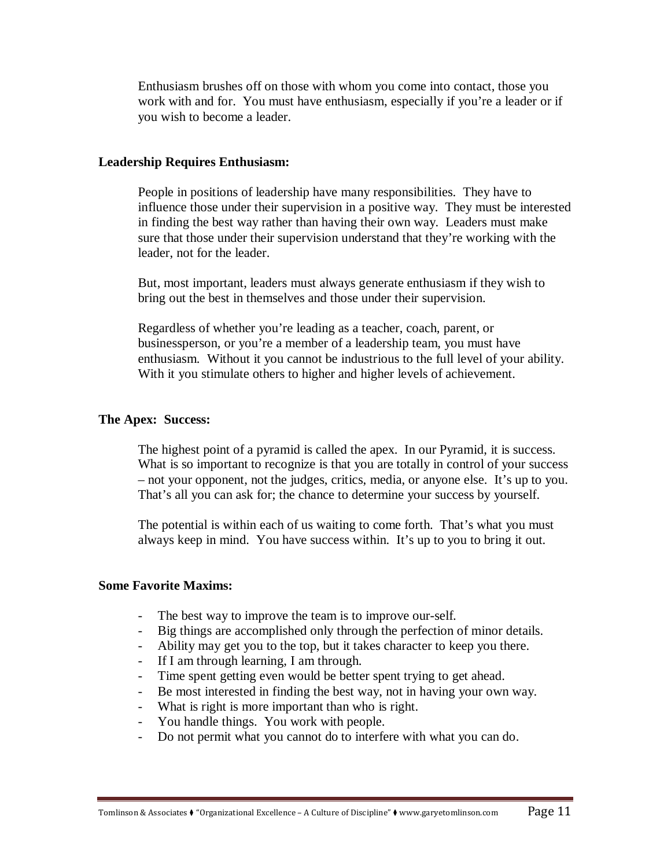Enthusiasm brushes off on those with whom you come into contact, those you work with and for. You must have enthusiasm, especially if you're a leader or if you wish to become a leader.

#### **Leadership Requires Enthusiasm:**

People in positions of leadership have many responsibilities. They have to influence those under their supervision in a positive way. They must be interested in finding the best way rather than having their own way. Leaders must make sure that those under their supervision understand that they're working with the leader, not for the leader.

But, most important, leaders must always generate enthusiasm if they wish to bring out the best in themselves and those under their supervision.

Regardless of whether you're leading as a teacher, coach, parent, or businessperson, or you're a member of a leadership team, you must have enthusiasm. Without it you cannot be industrious to the full level of your ability. With it you stimulate others to higher and higher levels of achievement.

#### **The Apex: Success:**

The highest point of a pyramid is called the apex. In our Pyramid, it is success. What is so important to recognize is that you are totally in control of your success – not your opponent, not the judges, critics, media, or anyone else. It's up to you. That's all you can ask for; the chance to determine your success by yourself.

The potential is within each of us waiting to come forth. That's what you must always keep in mind. You have success within. It's up to you to bring it out.

#### **Some Favorite Maxims:**

- The best way to improve the team is to improve our-self.
- Big things are accomplished only through the perfection of minor details.
- Ability may get you to the top, but it takes character to keep you there.
- If I am through learning, I am through.
- Time spent getting even would be better spent trying to get ahead.
- Be most interested in finding the best way, not in having your own way.
- What is right is more important than who is right.
- You handle things. You work with people.
- Do not permit what you cannot do to interfere with what you can do.